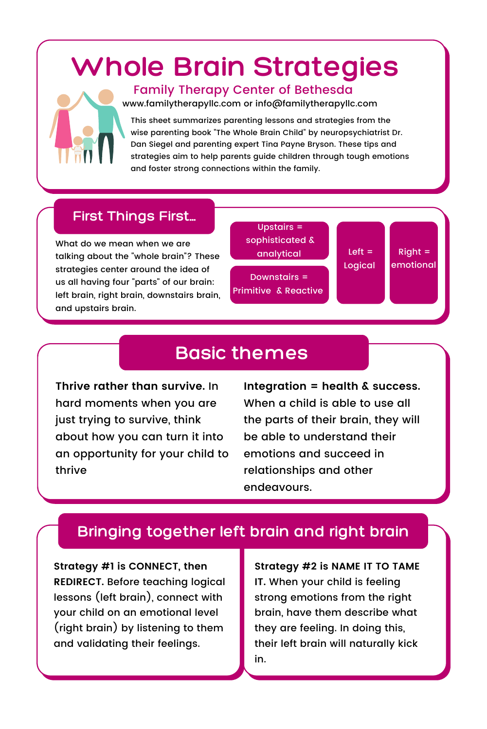# **Whole Brain Strategies**



#### Family Therapy Center of Bethesda

www.familytherapyllc.com or info@familytherapyllc.com

This sheet summarizes parenting lessons and strategies from the wise parenting book "The Whole Brain Child" by neuropsychiatrist Dr. Dan Siegel and parenting expert Tina Payne Bryson. These tips and strategies aim to help parents guide children through tough emotions and foster strong connections within the family.

#### **First Things First...**

What do we mean when we are talking about the "whole brain"? These strategies center around the idea of us all having four "parts" of our brain: left brain, right brain, downstairs brain, and upstairs brain.

Upstairs = sophisticated & analytical Downstairs = Primitive & Reactive

Left  $=$ Logical

#### $Richt =$ emotional

# **Basic themes**

**Thrive rather than survive.** In hard moments when you are just trying to survive, think about how you can turn it into an opportunity for your child to thrive

**Integration = health & success.** When a child is able to use all the parts of their brain, they will be able to understand their emotions and succeed in relationships and other endeavours.

# **Bringing together left brain and right brain**

**Strategy #1 is CONNECT, then REDIRECT.** Before teaching logical lessons (left brain), connect with your child on an emotional level (right brain) by listening to them and validating their feelings.

**Strategy #2 is NAME IT TO TAME IT.** When your child is feeling strong emotions from the right brain, have them describe what they are feeling. In doing this, their left brain will naturally kick in.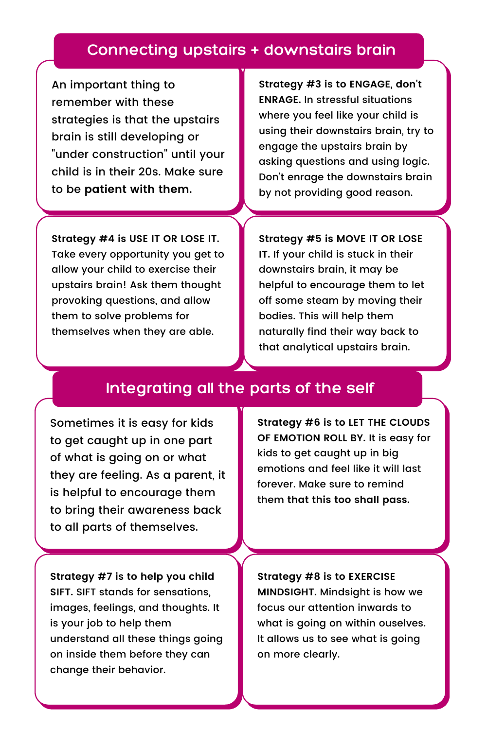### **Connecting upstairs + downstairs brain**

An important thing to remember with these strategies is that the upstairs brain is still developing or "under construction" until your child is in their 20s. Make sure to be **patient with them.**

**Strategy #3 is to ENGAGE, don't ENRAGE.** In stressful situations where you feel like your child is using their downstairs brain, try to engage the upstairs brain by asking questions and using logic. Don't enrage the downstairs brain by not providing good reason.

**Strategy #4 is USE IT OR LOSE IT.** Take every opportunity you get to allow your child to exercise their upstairs brain! Ask them thought provoking questions, and allow them to solve problems for themselves when they are able.

**Strategy #5 is MOVE IT OR LOSE IT.** If your child is stuck in their downstairs brain, it may be helpful to encourage them to let off some steam by moving their bodies. This will help them naturally find their way back to that analytical upstairs brain.

# **Integrating all the parts of the self**

Sometimes it is easy for kids to get caught up in one part of what is going on or what they are feeling. As a parent, it is helpful to encourage them to bring their awareness back to all parts of themselves.

**Strategy #6 is to LET THE CLOUDS OF EMOTION ROLL BY.** It is easy for kids to get caught up in big emotions and feel like it will last forever. Make sure to remind them **that this too shall pass.**

**Strategy #7 is to help you child SIFT.** SIFT stands for sensations, images, feelings, and thoughts. It is your job to help them understand all these things going on inside them before they can change their behavior.

**Strategy #8 is to EXERCISE MINDSIGHT.** Mindsight is how we focus our attention inwards to what is going on within ouselves. It allows us to see what is going on more clearly.